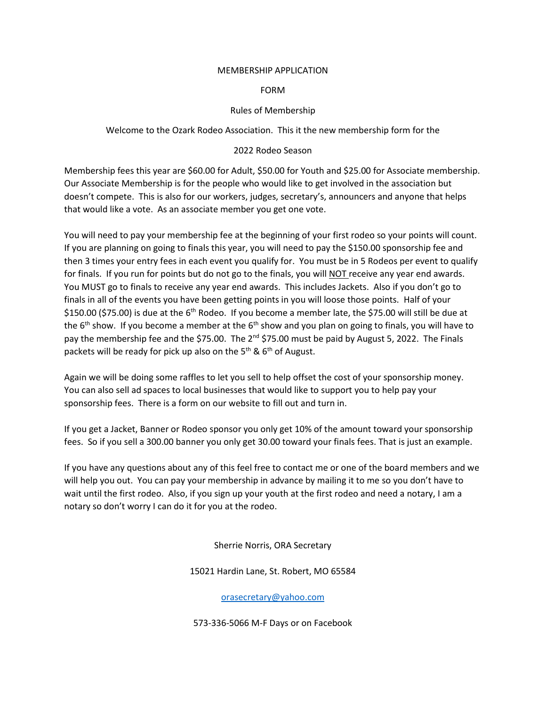#### MEMBERSHIP APPLICATION

## FORM

# Rules of Membership

Welcome to the Ozark Rodeo Association. This it the new membership form for the

# 2022 Rodeo Season

Membership fees this year are \$60.00 for Adult, \$50.00 for Youth and \$25.00 for Associate membership. Our Associate Membership is for the people who would like to get involved in the association but doesn't compete. This is also for our workers, judges, secretary's, announcers and anyone that helps that would like a vote. As an associate member you get one vote.

You will need to pay your membership fee at the beginning of your first rodeo so your points will count. If you are planning on going to finals this year, you will need to pay the \$150.00 sponsorship fee and then 3 times your entry fees in each event you qualify for. You must be in 5 Rodeos per event to qualify for finals. If you run for points but do not go to the finals, you will NOT receive any year end awards. You MUST go to finals to receive any year end awards. This includes Jackets. Also if you don't go to finals in all of the events you have been getting points in you will loose those points. Half of your \$150.00 (\$75.00) is due at the 6<sup>th</sup> Rodeo. If you become a member late, the \$75.00 will still be due at the  $6<sup>th</sup>$  show. If you become a member at the  $6<sup>th</sup>$  show and you plan on going to finals, you will have to pay the membership fee and the \$75.00. The 2<sup>nd</sup> \$75.00 must be paid by August 5, 2022. The Finals packets will be ready for pick up also on the  $5<sup>th</sup>$  &  $6<sup>th</sup>$  of August.

Again we will be doing some raffles to let you sell to help offset the cost of your sponsorship money. You can also sell ad spaces to local businesses that would like to support you to help pay your sponsorship fees. There is a form on our website to fill out and turn in.

If you get a Jacket, Banner or Rodeo sponsor you only get 10% of the amount toward your sponsorship fees. So if you sell a 300.00 banner you only get 30.00 toward your finals fees. That is just an example.

If you have any questions about any of this feel free to contact me or one of the board members and we will help you out. You can pay your membership in advance by mailing it to me so you don't have to wait until the first rodeo. Also, if you sign up your youth at the first rodeo and need a notary, I am a notary so don't worry I can do it for you at the rodeo.

Sherrie Norris, ORA Secretary

15021 Hardin Lane, St. Robert, MO 65584

[orasecretary@yahoo.com](mailto:orasecretary@yahoo.com)

573-336-5066 M-F Days or on Facebook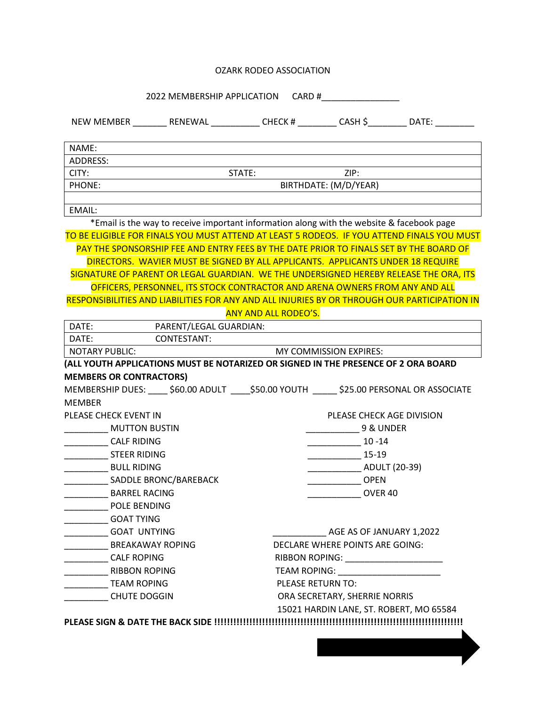## OZARK RODEO ASSOCIATION

2022 MEMBERSHIP APPLICATION CARD #\_\_\_\_\_\_\_\_\_\_\_\_\_\_\_\_

| NAME:                          |                                                                                               |                                                                          |               |                                                                                       |  |
|--------------------------------|-----------------------------------------------------------------------------------------------|--------------------------------------------------------------------------|---------------|---------------------------------------------------------------------------------------|--|
| <b>ADDRESS:</b>                |                                                                                               |                                                                          |               |                                                                                       |  |
| CITY:                          |                                                                                               | STATE:                                                                   | ZIP:          |                                                                                       |  |
| PHONE:                         |                                                                                               | BIRTHDATE: (M/D/YEAR)                                                    |               |                                                                                       |  |
|                                |                                                                                               |                                                                          |               |                                                                                       |  |
| <b>EMAIL:</b>                  | *Email is the way to receive important information along with the website & facebook page     |                                                                          |               |                                                                                       |  |
|                                | TO BE ELIGIBLE FOR FINALS YOU MUST ATTEND AT LEAST 5 RODEOS. IF YOU ATTEND FINALS YOU MUST    |                                                                          |               |                                                                                       |  |
|                                | PAY THE SPONSORSHIP FEE AND ENTRY FEES BY THE DATE PRIOR TO FINALS SET BY THE BOARD OF        |                                                                          |               |                                                                                       |  |
|                                | DIRECTORS. WAVIER MUST BE SIGNED BY ALL APPLICANTS. APPLICANTS UNDER 18 REQUIRE               |                                                                          |               |                                                                                       |  |
|                                |                                                                                               |                                                                          |               | SIGNATURE OF PARENT OR LEGAL GUARDIAN. WE THE UNDERSIGNED HEREBY RELEASE THE ORA, ITS |  |
|                                | OFFICERS, PERSONNEL, ITS STOCK CONTRACTOR AND ARENA OWNERS FROM ANY AND ALL                   |                                                                          |               |                                                                                       |  |
|                                | RESPONSIBILITIES AND LIABILITIES FOR ANY AND ALL INJURIES BY OR THROUGH OUR PARTICIPATION IN  |                                                                          |               |                                                                                       |  |
|                                |                                                                                               | <b>ANY AND ALL RODEO'S.</b>                                              |               |                                                                                       |  |
| DATE:                          | PARENT/LEGAL GUARDIAN:                                                                        |                                                                          |               |                                                                                       |  |
| DATE:                          | CONTESTANT:                                                                                   |                                                                          |               |                                                                                       |  |
| NOTARY PUBLIC:                 | MY COMMISSION EXPIRES:                                                                        |                                                                          |               |                                                                                       |  |
|                                | (ALL YOUTH APPLICATIONS MUST BE NOTARIZED OR SIGNED IN THE PRESENCE OF 2 ORA BOARD            |                                                                          |               |                                                                                       |  |
| <b>MEMBERS OR CONTRACTORS)</b> |                                                                                               |                                                                          |               |                                                                                       |  |
|                                | MEMBERSHIP DUES: _____ \$60.00 ADULT _____ \$50.00 YOUTH ______ \$25.00 PERSONAL OR ASSOCIATE |                                                                          |               |                                                                                       |  |
| <b>MEMBER</b>                  |                                                                                               |                                                                          |               |                                                                                       |  |
| PLEASE CHECK EVENT IN          |                                                                                               | PLEASE CHECK AGE DIVISION                                                |               |                                                                                       |  |
| MUTTON BUSTIN                  |                                                                                               | 9 & UNDER                                                                |               |                                                                                       |  |
| <b>CALF RIDING</b>             |                                                                                               | $10 - 14$                                                                |               |                                                                                       |  |
| <b>STEER RIDING</b>            |                                                                                               | $\frac{15-19}{2}$                                                        |               |                                                                                       |  |
| <b>BULL RIDING</b>             |                                                                                               |                                                                          | ADULT (20-39) |                                                                                       |  |
| SADDLE BRONC/BAREBACK          |                                                                                               | <b>OPEN</b>                                                              |               |                                                                                       |  |
| <b>BARREL RACING</b>           |                                                                                               |                                                                          | OVER 40       |                                                                                       |  |
| POLE BENDING                   |                                                                                               |                                                                          |               |                                                                                       |  |
| ____________________GOAT TYING |                                                                                               |                                                                          |               |                                                                                       |  |
| <b>GOAT UNTYING</b>            |                                                                                               | AGE AS OF JANUARY 1,2022                                                 |               |                                                                                       |  |
| BREAKAWAY ROPING               |                                                                                               | DECLARE WHERE POINTS ARE GOING:                                          |               |                                                                                       |  |
| ____________ CALF ROPING       |                                                                                               | RIBBON ROPING: _______________________                                   |               |                                                                                       |  |
| <b>RIBBON ROPING</b>           |                                                                                               | <b>PLEASE RETURN TO:</b>                                                 |               |                                                                                       |  |
| <b>TEAM ROPING</b>             |                                                                                               |                                                                          |               |                                                                                       |  |
| <b>CHUTE DOGGIN</b>            |                                                                                               | ORA SECRETARY, SHERRIE NORRIS<br>15021 HARDIN LANE, ST. ROBERT, MO 65584 |               |                                                                                       |  |
|                                |                                                                                               |                                                                          |               |                                                                                       |  |
|                                |                                                                                               |                                                                          |               |                                                                                       |  |
|                                |                                                                                               |                                                                          |               |                                                                                       |  |
|                                |                                                                                               |                                                                          |               |                                                                                       |  |